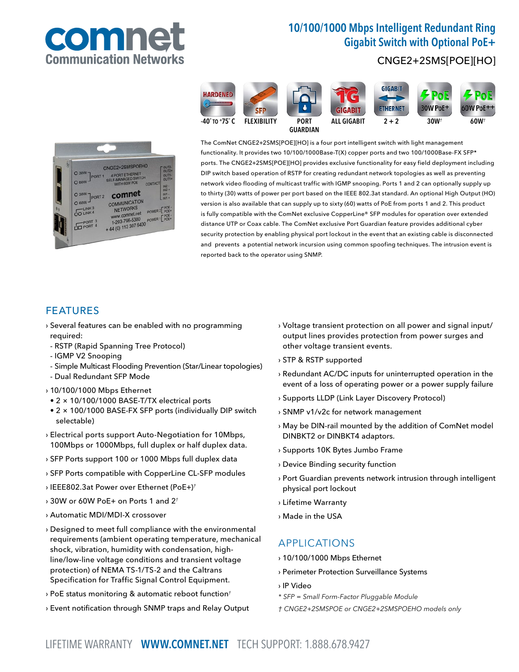

# 10/100/1000 Mbps Intelligent Redundant Ring Gigabit Switch with Optional PoE+

**GIGABIT** 

**ETHERNET** 

ALL GIGABIT  $2 + 2$  30W<sup>†</sup> 60W<sup>†</sup>

## CNGE2+2SMS[POE][HO]

**30W PoE** 



**HARDENED** 

The ComNet CNGE2+2SMS[POE][HO] is a four port intelligent switch with light management functionality. It provides two 10/100/1000Base-T(X) copper ports and two 100/1000Base-FX SFP\* ports. The CNGE2+2SMS[POE][HO] provides exclusive functionality for easy field deployment including DIP switch based operation of RSTP for creating redundant network topologies as well as preventing network video flooding of multicast traffic with IGMP snooping. Ports 1 and 2 can optionally supply up to thirty (30) watts of power per port based on the IEEE 802.3at standard. An optional High Output (HO) version is also available that can supply up to sixty (60) watts of PoE from ports 1 and 2. This product is fully compatible with the ComNet exclusive CopperLine® SFP modules for operation over extended distance UTP or Coax cable. The ComNet exclusive Port Guardian feature provides additional cyber security protection by enabling physical port lockout in the event that an existing cable is disconnected and prevents a potential network incursion using common spoofing techniques. The intrusion event is reported back to the operator using SNMP.

**GIGABIT** 

### FEATURES

 $O$  30V  $O<sub>60</sub>$ 

O 30W

 $O 60W$ 

OO LINK 4

 $000T2$ 

- › Several features can be enabled with no programming required:
- RSTP (Rapid Spanning Tree Protocol)

comnet

COMMUNICATION

NETWORKS

et.net 706-5300

- IGMP V2 Snooping
- Simple Multicast Flooding Prevention (Star/Linear topologies)
- Dual Redundant SFP Mode

### › 10/100/1000 Mbps Ethernet

- 2 × 10/100/1000 BASE-T/TX electrical ports
- 2 × 100/1000 BASE-FX SFP ports (individually DIP switch selectable)
- › Electrical ports support Auto-Negotiation for 10Mbps, 100Mbps or 1000Mbps, full duplex or half duplex data.
- › SFP Ports support 100 or 1000 Mbps full duplex data
- › SFP Ports compatible with CopperLine CL-SFP modules
- › IEEE802.3at Power over Ethernet (PoE+)†
- $\rightarrow$  30W or 60W PoE+ on Ports 1 and 2<sup>+</sup>
- › Automatic MDI/MDI-X crossover
- › Designed to meet full compliance with the environmental requirements (ambient operating temperature, mechanical shock, vibration, humidity with condensation, highline/low-line voltage conditions and transient voltage protection) of NEMA TS-1/TS-2 and the Caltrans Specification for Traffic Signal Control Equipment.
- $\rightarrow$  PoE status monitoring & automatic reboot function<sup>†</sup>
- › Event notification through SNMP traps and Relay Output
- › Voltage transient protection on all power and signal input/ output lines provides protection from power surges and other voltage transient events.
- › STP & RSTP supported
- › Redundant AC/DC inputs for uninterrupted operation in the event of a loss of operating power or a power supply failure
- › Supports LLDP (Link Layer Discovery Protocol)
- › SNMP v1/v2c for network management
- › May be DIN-rail mounted by the addition of ComNet model DINBKT2 or DINBKT4 adaptors.
- › Supports 10K Bytes Jumbo Frame
- › Device Binding security function
- › Port Guardian prevents network intrusion through intelligent physical port lockout
- › Lifetime Warranty
- › Made in the USA

## APPLICATIONS

- › 10/100/1000 Mbps Ethernet
- › Perimeter Protection Surveillance Systems
- › IP Video
- \* SFP = Small Form-Factor Pluggable Module
- † CNGE2+2SMSPOE or CNGE2+2SMSPOEHO models only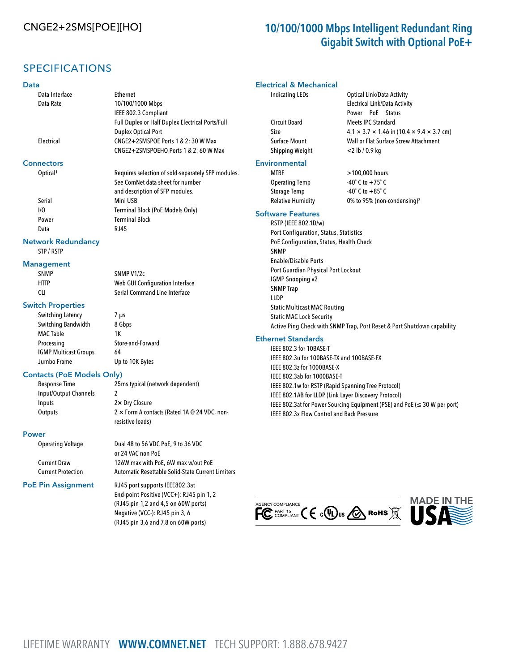# CNGE2+2SMS[POE][HO] 10/100/1000 Mbps Intelligent Redundant Ring Gigabit Switch with Optional PoE+

## SPECIFICATIONS

### Data

#### Data Interface Ethernet Data Rate 10/100/1000 Mbps IEEE 802.3 Compliant Full Duplex or Half Duplex Electrical Ports/Full Duplex Optical Port Electrical CNGE2+2SMSPOE Ports 1 & 2: 30 W Max CNGE2+2SMSPOEHO Ports 1 & 2: 60 W Max **Connectors** Optical<sup>1</sup> Requires selection of sold-separately SFP modules. See ComNet data sheet for number and description of SFP modules. Serial Mini USB I/O Terminal Block (PoE Models Only) Power Terminal Block Data RJ45 Network Redundancy STP / RSTP Management SNMP SNMP V1/2c HTTP Web GUI Configuration Interface CLI Serial Command Line Interface Switch Properties Switching Latency 7 µs Switching Bandwidth 8 Gbps MAC Table 1K Processing Store-and-Forward IGMP Multicast Groups 64 Jumbo Frame Up to 10K Bytes Contacts (PoE Models Only) Response Time 25ms typical (network dependent) Input/Output Channels 2 Inputs 2× Dry Closure Outputs 2 × Form A contacts (Rated 1A @ 24 VDC, nonresistive loads) Power Operating Voltage Dual 48 to 56 VDC PoE, 9 to 36 VDC or 24 VAC non PoE Current Draw 126W max with PoE, 6W max w/out PoE Current Protection Automatic Resettable Solid-State Current Limiters PoE Pin Assignment RJ45 port supports IEEE802.3at Electrical & Mechanical Indicating LEDs Optical Link/Data Activity Electrical Link/Data Activity Power PoE Status Circuit Board **Meets** IPC Standard Shipping Weight <2 lb / 0.9 kg Envi MTBF >100,000 hours Operating Temp -40˚ C to +75˚ C Storage Temp -40˚ C to +85˚ C Relative Humidity 0% to 95% (non-condensing)² Soft RSTP (IEEE 802.1D/w) Port Configuration, Status, Statistics PoE Configuration, Status, Health Check SNMP Enable/Disable Ports Port Guardian Physical Port Lockout IGMP Snooping v2 SNMP Trap LLDP Static Multicast MAC Routing Static MAC Lock Security Ethernet Standards IEEE 802.3 for 10BASE-T IEEE 802.3u for 100BASE-TX and 100BASE-FX IEEE 802.3z for 1000BASE-X IEEE 802.3ab for 1000BASE-T IEEE 802.1w for RSTP (Rapid Spanning Tree Protocol) IEEE 802.1AB for LLDP (Link Layer Discovery Protocol) IEEE 802.3x Flow Control and Back Pressure

End-point Positive (VCC+): RJ45 pin 1, 2 (RJ45 pin 1,2 and 4,5 on 60W ports) Negative (VCC-): RJ45 pin 3, 6 (RJ45 pin 3,6 and 7,8 on 60W ports)

| <b>Circuit Board</b>                    | <b>Meets IPC Standard</b>                                               |
|-----------------------------------------|-------------------------------------------------------------------------|
| Size                                    | $4.1 \times 3.7 \times 1.46$ in (10.4 $\times$ 9.4 $\times$ 3.7 cm)     |
| Surface Mount                           | Wall or Flat Surface Screw Attachment                                   |
| Shipping Weight                         | $<$ 2 lb / 0.9 kg                                                       |
| ronmental                               |                                                                         |
| <b>MTBF</b>                             | >100,000 hours                                                          |
| <b>Operating Temp</b>                   | $-40^{\circ}$ C to $+75^{\circ}$ C                                      |
| <b>Storage Temp</b>                     | $-40^{\circ}$ C to $+85^{\circ}$ C                                      |
| <b>Relative Humidity</b>                | 0% to 95% (non-condensing) <sup>2</sup>                                 |
| ware Features                           |                                                                         |
| RSTP (IEEE 802.1D/w)                    |                                                                         |
| Port Configuration, Status, Statistics  |                                                                         |
| PoE Configuration, Status, Health Check |                                                                         |
| <b>SNMP</b>                             |                                                                         |
| <b>Enable/Disable Ports</b>             |                                                                         |
| Port Guardian Physical Port Lockout     |                                                                         |
| <b>IGMP Snooping v2</b>                 |                                                                         |
| <b>SNMP Trap</b>                        |                                                                         |
| <b>LLDP</b>                             |                                                                         |
| <b>Static Multicast MAC Routing</b>     |                                                                         |
| <b>Static MAC Lock Security</b>         |                                                                         |
|                                         | Active Ping Check with SNMP Trap, Port Reset & Port Shutdown capability |
|                                         |                                                                         |

IEEE 802.3at for Power Sourcing Equipment (PSE) and PoE (≤ 30 W per port)